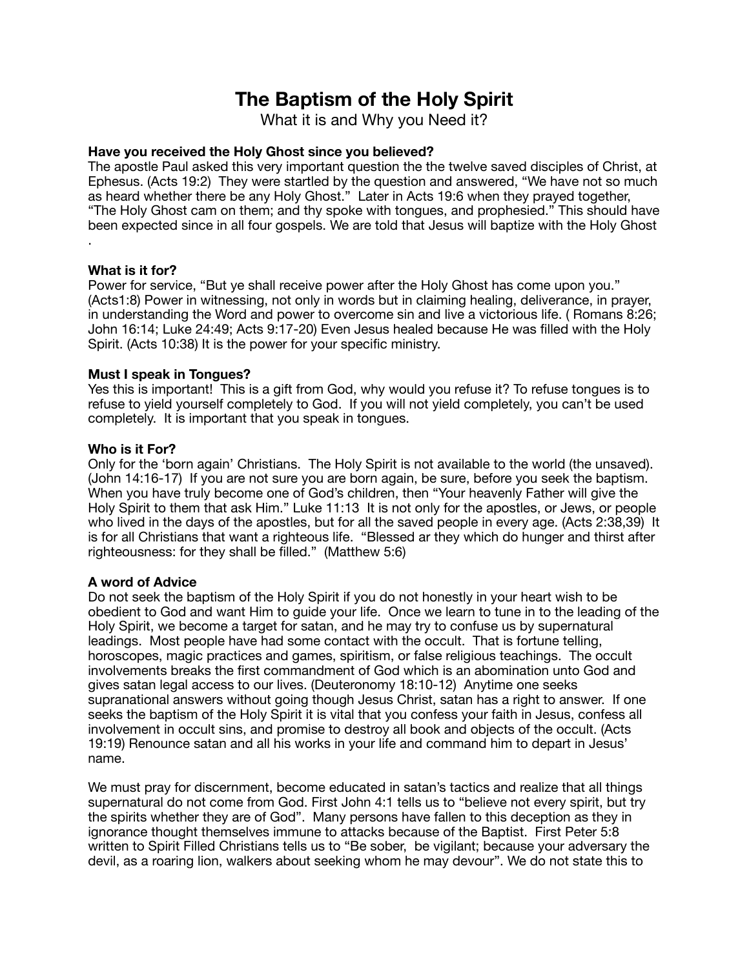# **The Baptism of the Holy Spirit**

What it is and Why you Need it?

## **Have you received the Holy Ghost since you believed?**

The apostle Paul asked this very important question the the twelve saved disciples of Christ, at Ephesus. (Acts 19:2) They were startled by the question and answered, "We have not so much as heard whether there be any Holy Ghost." Later in Acts 19:6 when they prayed together, "The Holy Ghost cam on them; and thy spoke with tongues, and prophesied." This should have been expected since in all four gospels. We are told that Jesus will baptize with the Holy Ghost .

## **What is it for?**

Power for service, "But ye shall receive power after the Holy Ghost has come upon you." (Acts1:8) Power in witnessing, not only in words but in claiming healing, deliverance, in prayer, in understanding the Word and power to overcome sin and live a victorious life. ( Romans 8:26; John 16:14; Luke 24:49; Acts 9:17-20) Even Jesus healed because He was filled with the Holy Spirit. (Acts 10:38) It is the power for your specific ministry.

## **Must I speak in Tongues?**

Yes this is important! This is a gift from God, why would you refuse it? To refuse tongues is to refuse to yield yourself completely to God. If you will not yield completely, you can't be used completely. It is important that you speak in tongues.

#### **Who is it For?**

Only for the 'born again' Christians. The Holy Spirit is not available to the world (the unsaved). (John 14:16-17) If you are not sure you are born again, be sure, before you seek the baptism. When you have truly become one of God's children, then "Your heavenly Father will give the Holy Spirit to them that ask Him." Luke 11:13 It is not only for the apostles, or Jews, or people who lived in the days of the apostles, but for all the saved people in every age. (Acts 2:38,39) It is for all Christians that want a righteous life. "Blessed ar they which do hunger and thirst after righteousness: for they shall be filled." (Matthew 5:6)

## **A word of Advice**

Do not seek the baptism of the Holy Spirit if you do not honestly in your heart wish to be obedient to God and want Him to guide your life. Once we learn to tune in to the leading of the Holy Spirit, we become a target for satan, and he may try to confuse us by supernatural leadings. Most people have had some contact with the occult. That is fortune telling, horoscopes, magic practices and games, spiritism, or false religious teachings. The occult involvements breaks the first commandment of God which is an abomination unto God and gives satan legal access to our lives. (Deuteronomy 18:10-12) Anytime one seeks supranational answers without going though Jesus Christ, satan has a right to answer. If one seeks the baptism of the Holy Spirit it is vital that you confess your faith in Jesus, confess all involvement in occult sins, and promise to destroy all book and objects of the occult. (Acts 19:19) Renounce satan and all his works in your life and command him to depart in Jesus' name.

We must pray for discernment, become educated in satan's tactics and realize that all things supernatural do not come from God. First John 4:1 tells us to "believe not every spirit, but try the spirits whether they are of God". Many persons have fallen to this deception as they in ignorance thought themselves immune to attacks because of the Baptist. First Peter 5:8 written to Spirit Filled Christians tells us to "Be sober, be vigilant; because your adversary the devil, as a roaring lion, walkers about seeking whom he may devour". We do not state this to